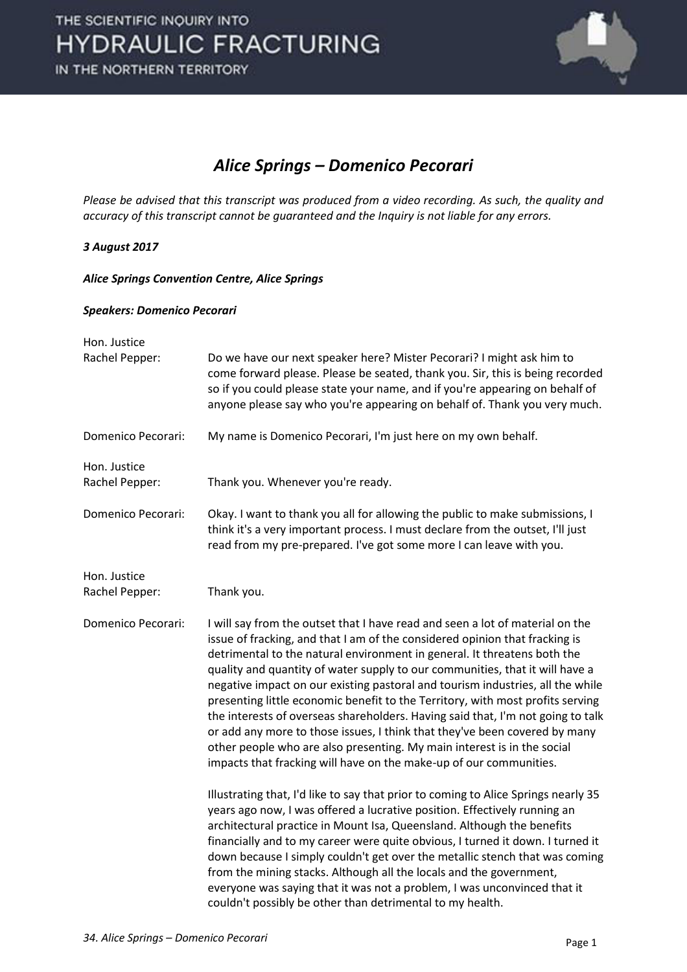

### *Alice Springs – Domenico Pecorari*

*Please be advised that this transcript was produced from a video recording. As such, the quality and accuracy of this transcript cannot be guaranteed and the Inquiry is not liable for any errors.* 

#### *3 August 2017*

*Alice Springs Convention Centre, Alice Springs* 

#### *Speakers: Domenico Pecorari*

| Hon. Justice                   |                                                                                                                                                                                                                                                                                                                                                                                                                                                                                                                                                                                                                                                                                                                                                                                                                |
|--------------------------------|----------------------------------------------------------------------------------------------------------------------------------------------------------------------------------------------------------------------------------------------------------------------------------------------------------------------------------------------------------------------------------------------------------------------------------------------------------------------------------------------------------------------------------------------------------------------------------------------------------------------------------------------------------------------------------------------------------------------------------------------------------------------------------------------------------------|
| Rachel Pepper:                 | Do we have our next speaker here? Mister Pecorari? I might ask him to<br>come forward please. Please be seated, thank you. Sir, this is being recorded<br>so if you could please state your name, and if you're appearing on behalf of<br>anyone please say who you're appearing on behalf of. Thank you very much.                                                                                                                                                                                                                                                                                                                                                                                                                                                                                            |
| Domenico Pecorari:             | My name is Domenico Pecorari, I'm just here on my own behalf.                                                                                                                                                                                                                                                                                                                                                                                                                                                                                                                                                                                                                                                                                                                                                  |
| Hon. Justice<br>Rachel Pepper: | Thank you. Whenever you're ready.                                                                                                                                                                                                                                                                                                                                                                                                                                                                                                                                                                                                                                                                                                                                                                              |
| Domenico Pecorari:             | Okay. I want to thank you all for allowing the public to make submissions, I<br>think it's a very important process. I must declare from the outset, I'll just<br>read from my pre-prepared. I've got some more I can leave with you.                                                                                                                                                                                                                                                                                                                                                                                                                                                                                                                                                                          |
| Hon. Justice<br>Rachel Pepper: | Thank you.                                                                                                                                                                                                                                                                                                                                                                                                                                                                                                                                                                                                                                                                                                                                                                                                     |
| Domenico Pecorari:             | I will say from the outset that I have read and seen a lot of material on the<br>issue of fracking, and that I am of the considered opinion that fracking is<br>detrimental to the natural environment in general. It threatens both the<br>quality and quantity of water supply to our communities, that it will have a<br>negative impact on our existing pastoral and tourism industries, all the while<br>presenting little economic benefit to the Territory, with most profits serving<br>the interests of overseas shareholders. Having said that, I'm not going to talk<br>or add any more to those issues, I think that they've been covered by many<br>other people who are also presenting. My main interest is in the social<br>impacts that fracking will have on the make-up of our communities. |
|                                | Illustrating that, I'd like to say that prior to coming to Alice Springs nearly 35<br>years ago now, I was offered a lucrative position. Effectively running an<br>architectural practice in Mount Isa, Queensland. Although the benefits<br>financially and to my career were quite obvious, I turned it down. I turned it<br>down because I simply couldn't get over the metallic stench that was coming<br>from the mining stacks. Although all the locals and the government,<br>everyone was saying that it was not a problem, I was unconvinced that it<br>couldn't possibly be other than detrimental to my health.                                                                                                                                                                                     |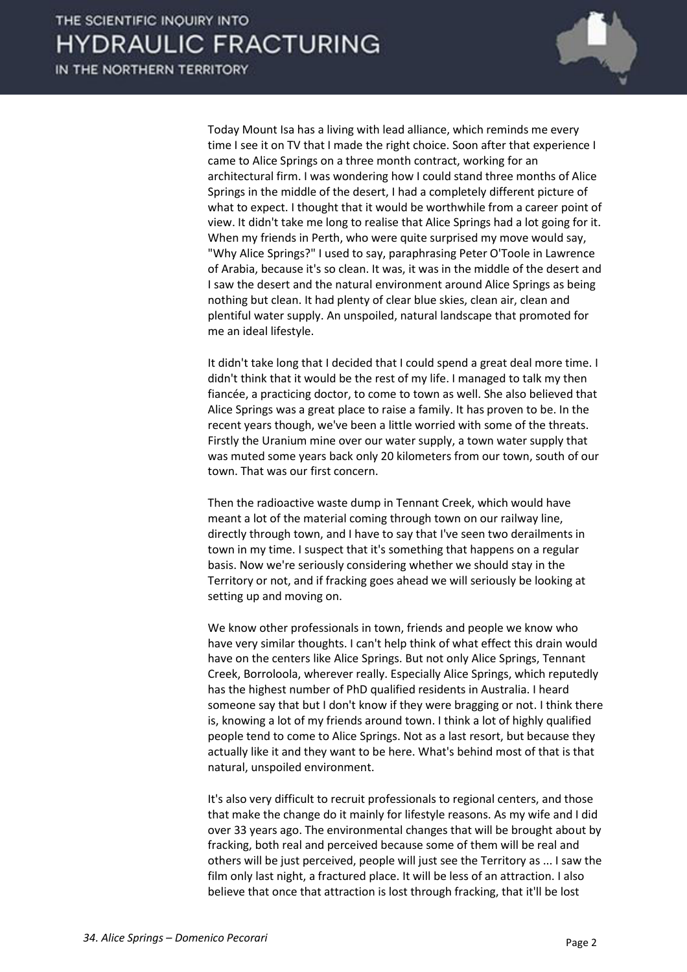

 Today Mount Isa has a living with lead alliance, which reminds me every time I see it on TV that I made the right choice. Soon after that experience I came to Alice Springs on a three month contract, working for an architectural firm. I was wondering how I could stand three months of Alice Springs in the middle of the desert, I had a completely different picture of what to expect. I thought that it would be worthwhile from a career point of view. It didn't take me long to realise that Alice Springs had a lot going for it. When my friends in Perth, who were quite surprised my move would say, "Why Alice Springs?" I used to say, paraphrasing Peter O'Toole in Lawrence of Arabia, because it's so clean. It was, it was in the middle of the desert and I saw the desert and the natural environment around Alice Springs as being nothing but clean. It had plenty of clear blue skies, clean air, clean and plentiful water supply. An unspoiled, natural landscape that promoted for me an ideal lifestyle.

 It didn't take long that I decided that I could spend a great deal more time. I didn't think that it would be the rest of my life. I managed to talk my then fiancée, a practicing doctor, to come to town as well. She also believed that Alice Springs was a great place to raise a family. It has proven to be. In the recent years though, we've been a little worried with some of the threats. Firstly the Uranium mine over our water supply, a town water supply that was muted some years back only 20 kilometers from our town, south of our town. That was our first concern.

 Then the radioactive waste dump in Tennant Creek, which would have meant a lot of the material coming through town on our railway line, directly through town, and I have to say that I've seen two derailments in town in my time. I suspect that it's something that happens on a regular basis. Now we're seriously considering whether we should stay in the Territory or not, and if fracking goes ahead we will seriously be looking at setting up and moving on.

 We know other professionals in town, friends and people we know who have very similar thoughts. I can't help think of what effect this drain would have on the centers like Alice Springs. But not only Alice Springs, Tennant Creek, Borroloola, wherever really. Especially Alice Springs, which reputedly has the highest number of PhD qualified residents in Australia. I heard someone say that but I don't know if they were bragging or not. I think there is, knowing a lot of my friends around town. I think a lot of highly qualified people tend to come to Alice Springs. Not as a last resort, but because they actually like it and they want to be here. What's behind most of that is that natural, unspoiled environment.

 It's also very difficult to recruit professionals to regional centers, and those that make the change do it mainly for lifestyle reasons. As my wife and I did over 33 years ago. The environmental changes that will be brought about by fracking, both real and perceived because some of them will be real and others will be just perceived, people will just see the Territory as ... I saw the film only last night, a fractured place. It will be less of an attraction. I also believe that once that attraction is lost through fracking, that it'll be lost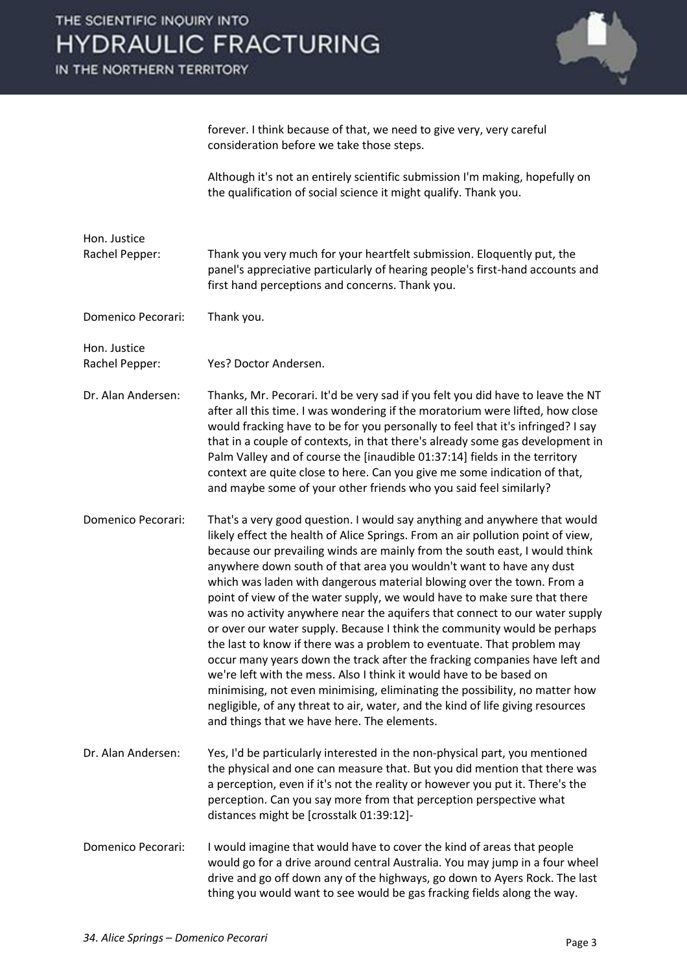IN THE NORTHERN TERRITORY



forever. I think because of that, we need to give very, very careful consideration before we take those steps.

 Although it's not an entirely scientific submission I'm making, hopefully on the qualification of social science it might qualify. Thank you.

Hon. Justice Rachel Pepper: Thank you very much for your heartfelt submission. Eloquently put, the panel's appreciative particularly of hearing people's first-hand accounts and first hand perceptions and concerns. Thank you.

Domenico Pecorari: Thank you.

Hon. Justice

Rachel Pepper: Yes? Doctor Andersen.

- Dr. Alan Andersen: Thanks, Mr. Pecorari. It'd be very sad if you felt you did have to leave the NT after all this time. I was wondering if the moratorium were lifted, how close would fracking have to be for you personally to feel that it's infringed? I say that in a couple of contexts, in that there's already some gas development in Palm Valley and of course the [inaudible 01:37:14] fields in the territory context are quite close to here. Can you give me some indication of that, and maybe some of your other friends who you said feel similarly?
- Domenico Pecorari: That's a very good question. I would say anything and anywhere that would likely effect the health of Alice Springs. From an air pollution point of view, because our prevailing winds are mainly from the south east, I would think anywhere down south of that area you wouldn't want to have any dust which was laden with dangerous material blowing over the town. From a point of view of the water supply, we would have to make sure that there was no activity anywhere near the aquifers that connect to our water supply or over our water supply. Because I think the community would be perhaps the last to know if there was a problem to eventuate. That problem may occur many years down the track after the fracking companies have left and we're left with the mess. Also I think it would have to be based on minimising, not even minimising, eliminating the possibility, no matter how negligible, of any threat to air, water, and the kind of life giving resources and things that we have here. The elements.
- Dr. Alan Andersen: Yes, I'd be particularly interested in the non-physical part, you mentioned the physical and one can measure that. But you did mention that there was a perception, even if it's not the reality or however you put it. There's the perception. Can you say more from that perception perspective what distances might be [crosstalk 01:39:12]-
- Domenico Pecorari: I would imagine that would have to cover the kind of areas that people would go for a drive around central Australia. You may jump in a four wheel drive and go off down any of the highways, go down to Ayers Rock. The last thing you would want to see would be gas fracking fields along the way.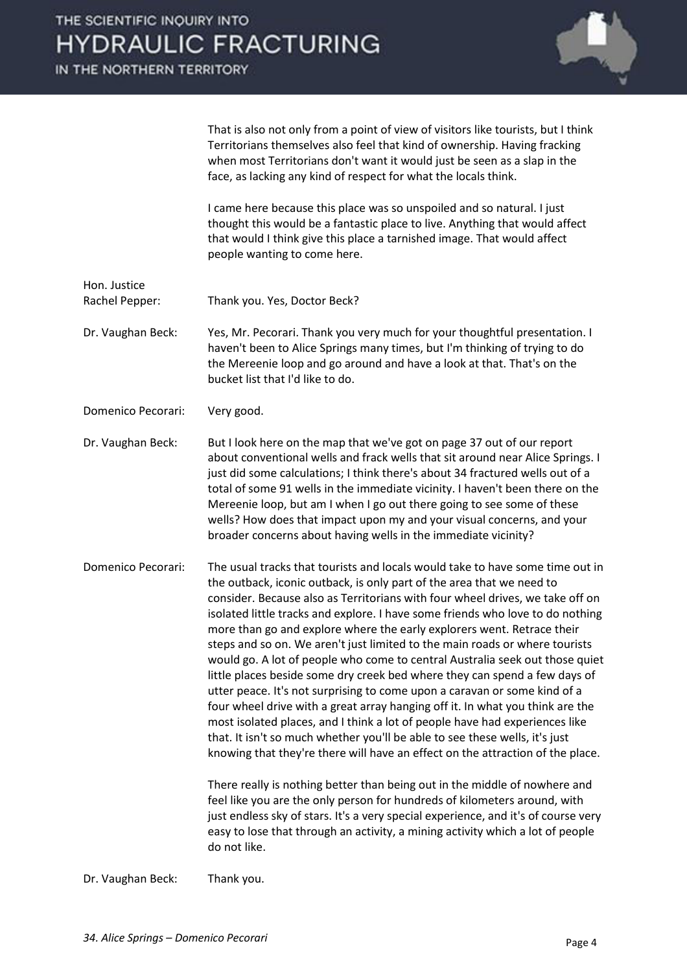IN THE NORTHERN TERRITORY



That is also not only from a point of view of visitors like tourists, but I think Territorians themselves also feel that kind of ownership. Having fracking when most Territorians don't want it would just be seen as a slap in the face, as lacking any kind of respect for what the locals think.

 I came here because this place was so unspoiled and so natural. I just thought this would be a fantastic place to live. Anything that would affect that would I think give this place a tarnished image. That would affect people wanting to come here.

- Hon. Justice Rachel Pepper: Thank you. Yes, Doctor Beck?
- Dr. Vaughan Beck: Yes, Mr. Pecorari. Thank you very much for your thoughtful presentation. I haven't been to Alice Springs many times, but I'm thinking of trying to do the Mereenie loop and go around and have a look at that. That's on the bucket list that I'd like to do.
- Domenico Pecorari: Very good.
- Dr. Vaughan Beck: But I look here on the map that we've got on page 37 out of our report about conventional wells and frack wells that sit around near Alice Springs. I just did some calculations; I think there's about 34 fractured wells out of a total of some 91 wells in the immediate vicinity. I haven't been there on the Mereenie loop, but am I when I go out there going to see some of these wells? How does that impact upon my and your visual concerns, and your broader concerns about having wells in the immediate vicinity?
- Domenico Pecorari: The usual tracks that tourists and locals would take to have some time out in the outback, iconic outback, is only part of the area that we need to consider. Because also as Territorians with four wheel drives, we take off on isolated little tracks and explore. I have some friends who love to do nothing more than go and explore where the early explorers went. Retrace their steps and so on. We aren't just limited to the main roads or where tourists would go. A lot of people who come to central Australia seek out those quiet little places beside some dry creek bed where they can spend a few days of utter peace. It's not surprising to come upon a caravan or some kind of a four wheel drive with a great array hanging off it. In what you think are the most isolated places, and I think a lot of people have had experiences like that. It isn't so much whether you'll be able to see these wells, it's just knowing that they're there will have an effect on the attraction of the place.

 There really is nothing better than being out in the middle of nowhere and feel like you are the only person for hundreds of kilometers around, with just endless sky of stars. It's a very special experience, and it's of course very easy to lose that through an activity, a mining activity which a lot of people do not like.

Dr. Vaughan Beck: Thank you.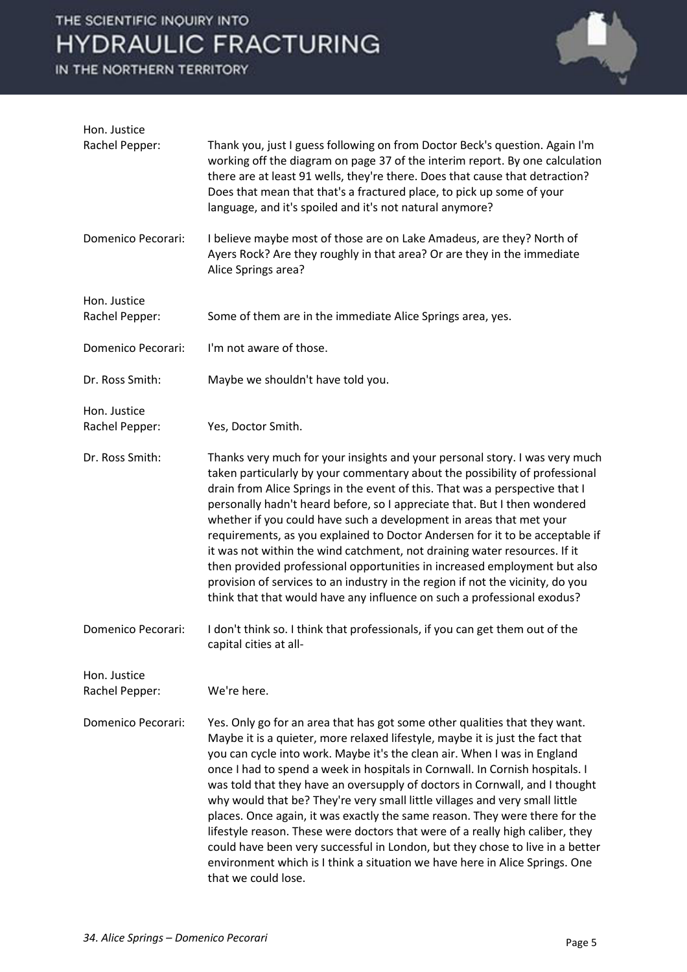IN THE NORTHERN TERRITORY



| Hon. Justice                   |                                                                                                                                                                                                                                                                                                                                                                                                                                                                                                                                                                                                                                                                                                                                                                                                                                              |
|--------------------------------|----------------------------------------------------------------------------------------------------------------------------------------------------------------------------------------------------------------------------------------------------------------------------------------------------------------------------------------------------------------------------------------------------------------------------------------------------------------------------------------------------------------------------------------------------------------------------------------------------------------------------------------------------------------------------------------------------------------------------------------------------------------------------------------------------------------------------------------------|
| Rachel Pepper:                 | Thank you, just I guess following on from Doctor Beck's question. Again I'm<br>working off the diagram on page 37 of the interim report. By one calculation<br>there are at least 91 wells, they're there. Does that cause that detraction?<br>Does that mean that that's a fractured place, to pick up some of your<br>language, and it's spoiled and it's not natural anymore?                                                                                                                                                                                                                                                                                                                                                                                                                                                             |
| Domenico Pecorari:             | I believe maybe most of those are on Lake Amadeus, are they? North of<br>Ayers Rock? Are they roughly in that area? Or are they in the immediate<br>Alice Springs area?                                                                                                                                                                                                                                                                                                                                                                                                                                                                                                                                                                                                                                                                      |
| Hon. Justice                   |                                                                                                                                                                                                                                                                                                                                                                                                                                                                                                                                                                                                                                                                                                                                                                                                                                              |
| Rachel Pepper:                 | Some of them are in the immediate Alice Springs area, yes.                                                                                                                                                                                                                                                                                                                                                                                                                                                                                                                                                                                                                                                                                                                                                                                   |
| Domenico Pecorari:             | I'm not aware of those.                                                                                                                                                                                                                                                                                                                                                                                                                                                                                                                                                                                                                                                                                                                                                                                                                      |
| Dr. Ross Smith:                | Maybe we shouldn't have told you.                                                                                                                                                                                                                                                                                                                                                                                                                                                                                                                                                                                                                                                                                                                                                                                                            |
| Hon. Justice                   |                                                                                                                                                                                                                                                                                                                                                                                                                                                                                                                                                                                                                                                                                                                                                                                                                                              |
| Rachel Pepper:                 | Yes, Doctor Smith.                                                                                                                                                                                                                                                                                                                                                                                                                                                                                                                                                                                                                                                                                                                                                                                                                           |
| Dr. Ross Smith:                | Thanks very much for your insights and your personal story. I was very much<br>taken particularly by your commentary about the possibility of professional<br>drain from Alice Springs in the event of this. That was a perspective that I<br>personally hadn't heard before, so I appreciate that. But I then wondered<br>whether if you could have such a development in areas that met your<br>requirements, as you explained to Doctor Andersen for it to be acceptable if<br>it was not within the wind catchment, not draining water resources. If it<br>then provided professional opportunities in increased employment but also<br>provision of services to an industry in the region if not the vicinity, do you<br>think that that would have any influence on such a professional exodus?                                        |
| Domenico Pecorari:             | I don't think so. I think that professionals, if you can get them out of the<br>capital cities at all-                                                                                                                                                                                                                                                                                                                                                                                                                                                                                                                                                                                                                                                                                                                                       |
| Hon. Justice<br>Rachel Pepper: | We're here.                                                                                                                                                                                                                                                                                                                                                                                                                                                                                                                                                                                                                                                                                                                                                                                                                                  |
| Domenico Pecorari:             | Yes. Only go for an area that has got some other qualities that they want.<br>Maybe it is a quieter, more relaxed lifestyle, maybe it is just the fact that<br>you can cycle into work. Maybe it's the clean air. When I was in England<br>once I had to spend a week in hospitals in Cornwall. In Cornish hospitals. I<br>was told that they have an oversupply of doctors in Cornwall, and I thought<br>why would that be? They're very small little villages and very small little<br>places. Once again, it was exactly the same reason. They were there for the<br>lifestyle reason. These were doctors that were of a really high caliber, they<br>could have been very successful in London, but they chose to live in a better<br>environment which is I think a situation we have here in Alice Springs. One<br>that we could lose. |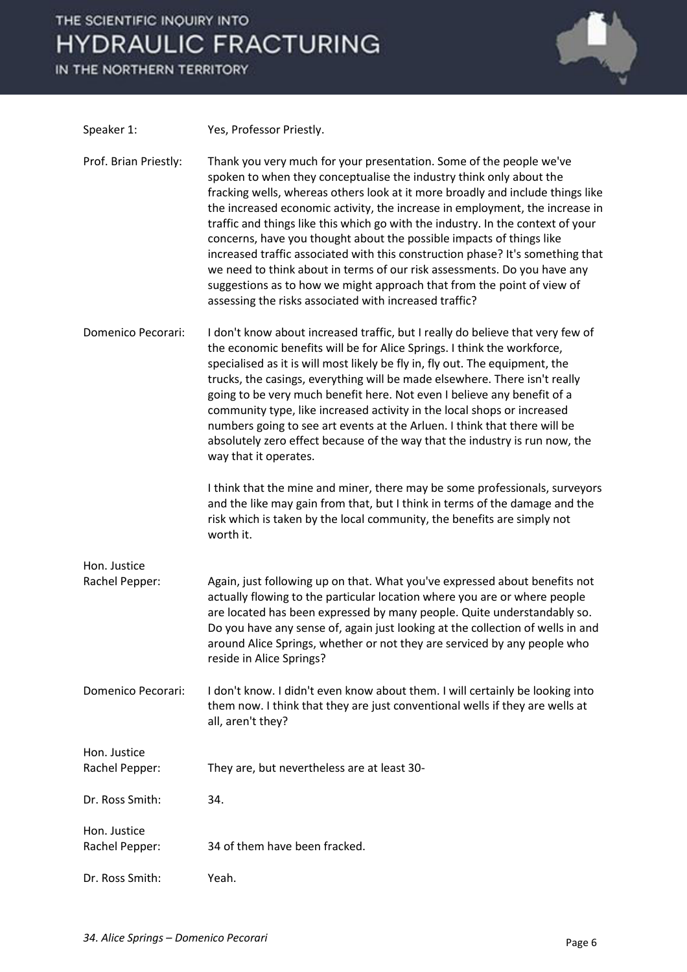IN THE NORTHERN TERRITORY



| Speaker 1:                     | Yes, Professor Priestly.                                                                                                                                                                                                                                                                                                                                                                                                                                                                                                                                                                                                                                                                                                                                                  |
|--------------------------------|---------------------------------------------------------------------------------------------------------------------------------------------------------------------------------------------------------------------------------------------------------------------------------------------------------------------------------------------------------------------------------------------------------------------------------------------------------------------------------------------------------------------------------------------------------------------------------------------------------------------------------------------------------------------------------------------------------------------------------------------------------------------------|
| Prof. Brian Priestly:          | Thank you very much for your presentation. Some of the people we've<br>spoken to when they conceptualise the industry think only about the<br>fracking wells, whereas others look at it more broadly and include things like<br>the increased economic activity, the increase in employment, the increase in<br>traffic and things like this which go with the industry. In the context of your<br>concerns, have you thought about the possible impacts of things like<br>increased traffic associated with this construction phase? It's something that<br>we need to think about in terms of our risk assessments. Do you have any<br>suggestions as to how we might approach that from the point of view of<br>assessing the risks associated with increased traffic? |
| Domenico Pecorari:             | I don't know about increased traffic, but I really do believe that very few of<br>the economic benefits will be for Alice Springs. I think the workforce,<br>specialised as it is will most likely be fly in, fly out. The equipment, the<br>trucks, the casings, everything will be made elsewhere. There isn't really<br>going to be very much benefit here. Not even I believe any benefit of a<br>community type, like increased activity in the local shops or increased<br>numbers going to see art events at the Arluen. I think that there will be<br>absolutely zero effect because of the way that the industry is run now, the<br>way that it operates.                                                                                                        |
|                                | I think that the mine and miner, there may be some professionals, surveyors<br>and the like may gain from that, but I think in terms of the damage and the<br>risk which is taken by the local community, the benefits are simply not<br>worth it.                                                                                                                                                                                                                                                                                                                                                                                                                                                                                                                        |
| Hon. Justice                   |                                                                                                                                                                                                                                                                                                                                                                                                                                                                                                                                                                                                                                                                                                                                                                           |
| Rachel Pepper:                 | Again, just following up on that. What you've expressed about benefits not<br>actually flowing to the particular location where you are or where people<br>are located has been expressed by many people. Quite understandably so.<br>Do you have any sense of, again just looking at the collection of wells in and<br>around Alice Springs, whether or not they are serviced by any people who<br>reside in Alice Springs?                                                                                                                                                                                                                                                                                                                                              |
| Domenico Pecorari:             | I don't know. I didn't even know about them. I will certainly be looking into<br>them now. I think that they are just conventional wells if they are wells at<br>all, aren't they?                                                                                                                                                                                                                                                                                                                                                                                                                                                                                                                                                                                        |
| Hon. Justice                   |                                                                                                                                                                                                                                                                                                                                                                                                                                                                                                                                                                                                                                                                                                                                                                           |
| Rachel Pepper:                 | They are, but nevertheless are at least 30-                                                                                                                                                                                                                                                                                                                                                                                                                                                                                                                                                                                                                                                                                                                               |
| Dr. Ross Smith:                | 34.                                                                                                                                                                                                                                                                                                                                                                                                                                                                                                                                                                                                                                                                                                                                                                       |
| Hon. Justice<br>Rachel Pepper: | 34 of them have been fracked.                                                                                                                                                                                                                                                                                                                                                                                                                                                                                                                                                                                                                                                                                                                                             |
|                                |                                                                                                                                                                                                                                                                                                                                                                                                                                                                                                                                                                                                                                                                                                                                                                           |
| Dr. Ross Smith:                | Yeah.                                                                                                                                                                                                                                                                                                                                                                                                                                                                                                                                                                                                                                                                                                                                                                     |